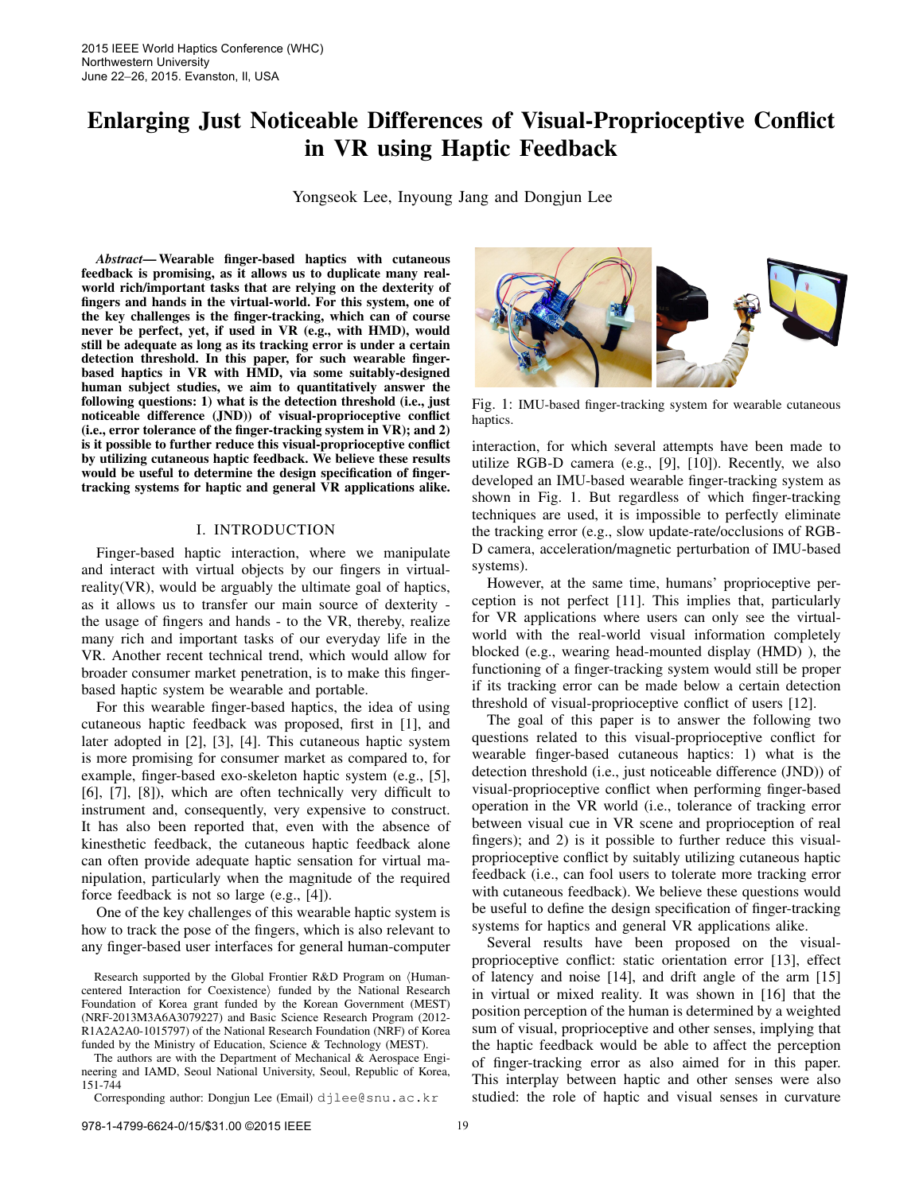# Enlarging Just Noticeable Differences of Visual-Proprioceptive Conflict in VR using Haptic Feedback

Yongseok Lee, Inyoung Jang and Dongjun Lee

*Abstract*— Wearable finger-based haptics with cutaneous feedback is promising, as it allows us to duplicate many realworld rich/important tasks that are relying on the dexterity of fingers and hands in the virtual-world. For this system, one of the key challenges is the finger-tracking, which can of course never be perfect, yet, if used in VR (e.g., with HMD), would still be adequate as long as its tracking error is under a certain detection threshold. In this paper, for such wearable fingerbased haptics in VR with HMD, via some suitably-designed human subject studies, we aim to quantitatively answer the following questions: 1) what is the detection threshold (i.e., just noticeable difference (JND)) of visual-proprioceptive conflict (i.e., error tolerance of the finger-tracking system in VR); and 2) is it possible to further reduce this visual-proprioceptive conflict by utilizing cutaneous haptic feedback. We believe these results would be useful to determine the design specification of fingertracking systems for haptic and general VR applications alike.

# I. INTRODUCTION

Finger-based haptic interaction, where we manipulate and interact with virtual objects by our fingers in virtualreality(VR), would be arguably the ultimate goal of haptics, as it allows us to transfer our main source of dexterity the usage of fingers and hands - to the VR, thereby, realize many rich and important tasks of our everyday life in the VR. Another recent technical trend, which would allow for broader consumer market penetration, is to make this fingerbased haptic system be wearable and portable.

For this wearable finger-based haptics, the idea of using cutaneous haptic feedback was proposed, first in [1], and later adopted in [2], [3], [4]. This cutaneous haptic system is more promising for consumer market as compared to, for example, finger-based exo-skeleton haptic system (e.g., [5], [6], [7], [8]), which are often technically very difficult to instrument and, consequently, very expensive to construct. It has also been reported that, even with the absence of kinesthetic feedback, the cutaneous haptic feedback alone can often provide adequate haptic sensation for virtual manipulation, particularly when the magnitude of the required force feedback is not so large (e.g., [4]).

One of the key challenges of this wearable haptic system is how to track the pose of the fingers, which is also relevant to any finger-based user interfaces for general human-computer

The authors are with the Department of Mechanical & Aerospace Engineering and IAMD, Seoul National University, Seoul, Republic of Korea, 151-744

Corresponding author: Dongjun Lee (Email) djlee@snu.ac.kr



Fig. 1: IMU-based finger-tracking system for wearable cutaneous haptics.

interaction, for which several attempts have been made to utilize RGB-D camera (e.g., [9], [10]). Recently, we also developed an IMU-based wearable finger-tracking system as shown in Fig. 1. But regardless of which finger-tracking techniques are used, it is impossible to perfectly eliminate the tracking error (e.g., slow update-rate/occlusions of RGB-D camera, acceleration/magnetic perturbation of IMU-based systems).

However, at the same time, humans' proprioceptive perception is not perfect [11]. This implies that, particularly for VR applications where users can only see the virtualworld with the real-world visual information completely blocked (e.g., wearing head-mounted display (HMD) ), the functioning of a finger-tracking system would still be proper if its tracking error can be made below a certain detection threshold of visual-proprioceptive conflict of users [12].

The goal of this paper is to answer the following two questions related to this visual-proprioceptive conflict for wearable finger-based cutaneous haptics: 1) what is the detection threshold (i.e., just noticeable difference (JND)) of visual-proprioceptive conflict when performing finger-based operation in the VR world (i.e., tolerance of tracking error between visual cue in VR scene and proprioception of real fingers); and 2) is it possible to further reduce this visualproprioceptive conflict by suitably utilizing cutaneous haptic feedback (i.e., can fool users to tolerate more tracking error with cutaneous feedback). We believe these questions would be useful to define the design specification of finger-tracking systems for haptics and general VR applications alike.

Several results have been proposed on the visualproprioceptive conflict: static orientation error [13], effect of latency and noise [14], and drift angle of the arm [15] in virtual or mixed reality. It was shown in [16] that the position perception of the human is determined by a weighted sum of visual, proprioceptive and other senses, implying that the haptic feedback would be able to affect the perception of finger-tracking error as also aimed for in this paper. This interplay between haptic and other senses were also studied: the role of haptic and visual senses in curvature

Research supported by the Global Frontier R&D Program on  $\langle$ Humancentered Interaction for Coexistence) funded by the National Research Foundation of Korea grant funded by the Korean Government (MEST) (NRF-2013M3A6A3079227) and Basic Science Research Program (2012- R1A2A2A0-1015797) of the National Research Foundation (NRF) of Korea funded by the Ministry of Education, Science & Technology (MEST).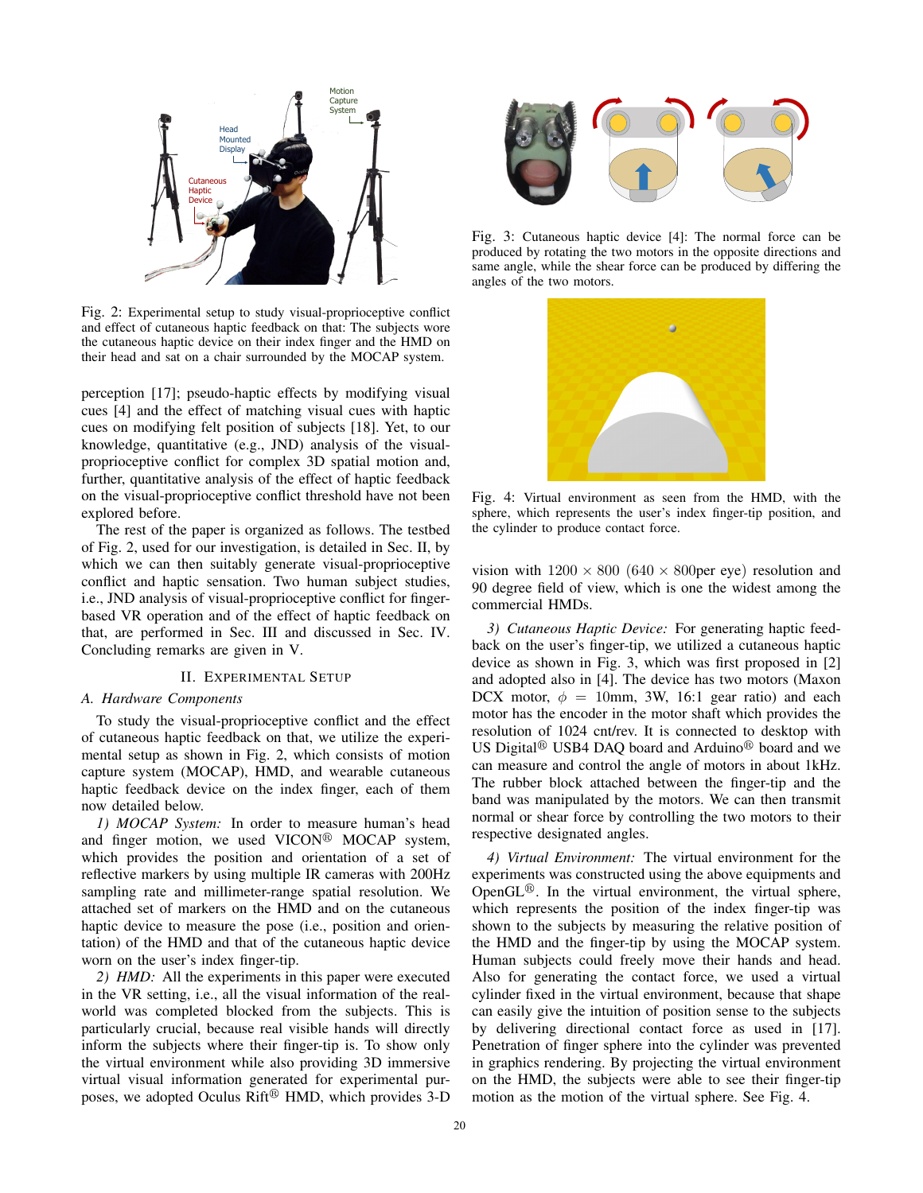

Fig. 2: Experimental setup to study visual-proprioceptive conflict and effect of cutaneous haptic feedback on that: The subjects wore the cutaneous haptic device on their index finger and the HMD on their head and sat on a chair surrounded by the MOCAP system.

perception [17]; pseudo-haptic effects by modifying visual cues [4] and the effect of matching visual cues with haptic cues on modifying felt position of subjects [18]. Yet, to our knowledge, quantitative (e.g., JND) analysis of the visualproprioceptive conflict for complex 3D spatial motion and, further, quantitative analysis of the effect of haptic feedback on the visual-proprioceptive conflict threshold have not been explored before.

The rest of the paper is organized as follows. The testbed of Fig. 2, used for our investigation, is detailed in Sec. II, by which we can then suitably generate visual-proprioceptive conflict and haptic sensation. Two human subject studies, i.e., JND analysis of visual-proprioceptive conflict for fingerbased VR operation and of the effect of haptic feedback on that, are performed in Sec. III and discussed in Sec. IV. Concluding remarks are given in V.

# II. EXPERIMENTAL SETUP

#### *A. Hardware Components*

To study the visual-proprioceptive conflict and the effect of cutaneous haptic feedback on that, we utilize the experimental setup as shown in Fig. 2, which consists of motion capture system (MOCAP), HMD, and wearable cutaneous haptic feedback device on the index finger, each of them now detailed below.

*1) MOCAP System:* In order to measure human's head and finger motion, we used VICON<sup>®</sup> MOCAP system, which provides the position and orientation of a set of reflective markers by using multiple IR cameras with 200Hz sampling rate and millimeter-range spatial resolution. We attached set of markers on the HMD and on the cutaneous haptic device to measure the pose (i.e., position and orientation) of the HMD and that of the cutaneous haptic device worn on the user's index finger-tip.

*2) HMD:* All the experiments in this paper were executed in the VR setting, i.e., all the visual information of the realworld was completed blocked from the subjects. This is particularly crucial, because real visible hands will directly inform the subjects where their finger-tip is. To show only the virtual environment while also providing 3D immersive virtual visual information generated for experimental purposes, we adopted Oculus Rift $^{\circledR}$  HMD, which provides 3-D



Fig. 3: Cutaneous haptic device [4]: The normal force can be produced by rotating the two motors in the opposite directions and same angle, while the shear force can be produced by differing the angles of the two motors.



Fig. 4: Virtual environment as seen from the HMD, with the sphere, which represents the user's index finger-tip position, and the cylinder to produce contact force.

vision with  $1200 \times 800$  (640  $\times$  800 per eye) resolution and 90 degree field of view, which is one the widest among the commercial HMDs.

*3) Cutaneous Haptic Device:* For generating haptic feedback on the user's finger-tip, we utilized a cutaneous haptic device as shown in Fig. 3, which was first proposed in [2] and adopted also in [4]. The device has two motors (Maxon DCX motor,  $\phi = 10$ mm, 3W, 16:1 gear ratio) and each motor has the encoder in the motor shaft which provides the resolution of 1024 cnt/rev. It is connected to desktop with US Digital<sup>®</sup> USB4 DAQ board and Arduino<sup>®</sup> board and we can measure and control the angle of motors in about 1kHz. The rubber block attached between the finger-tip and the band was manipulated by the motors. We can then transmit normal or shear force by controlling the two motors to their respective designated angles.

*4) Virtual Environment:* The virtual environment for the experiments was constructed using the above equipments and Open $GL^{\circledR}$ . In the virtual environment, the virtual sphere, which represents the position of the index finger-tip was shown to the subjects by measuring the relative position of the HMD and the finger-tip by using the MOCAP system. Human subjects could freely move their hands and head. Also for generating the contact force, we used a virtual cylinder fixed in the virtual environment, because that shape can easily give the intuition of position sense to the subjects by delivering directional contact force as used in [17]. Penetration of finger sphere into the cylinder was prevented in graphics rendering. By projecting the virtual environment on the HMD, the subjects were able to see their finger-tip motion as the motion of the virtual sphere. See Fig. 4.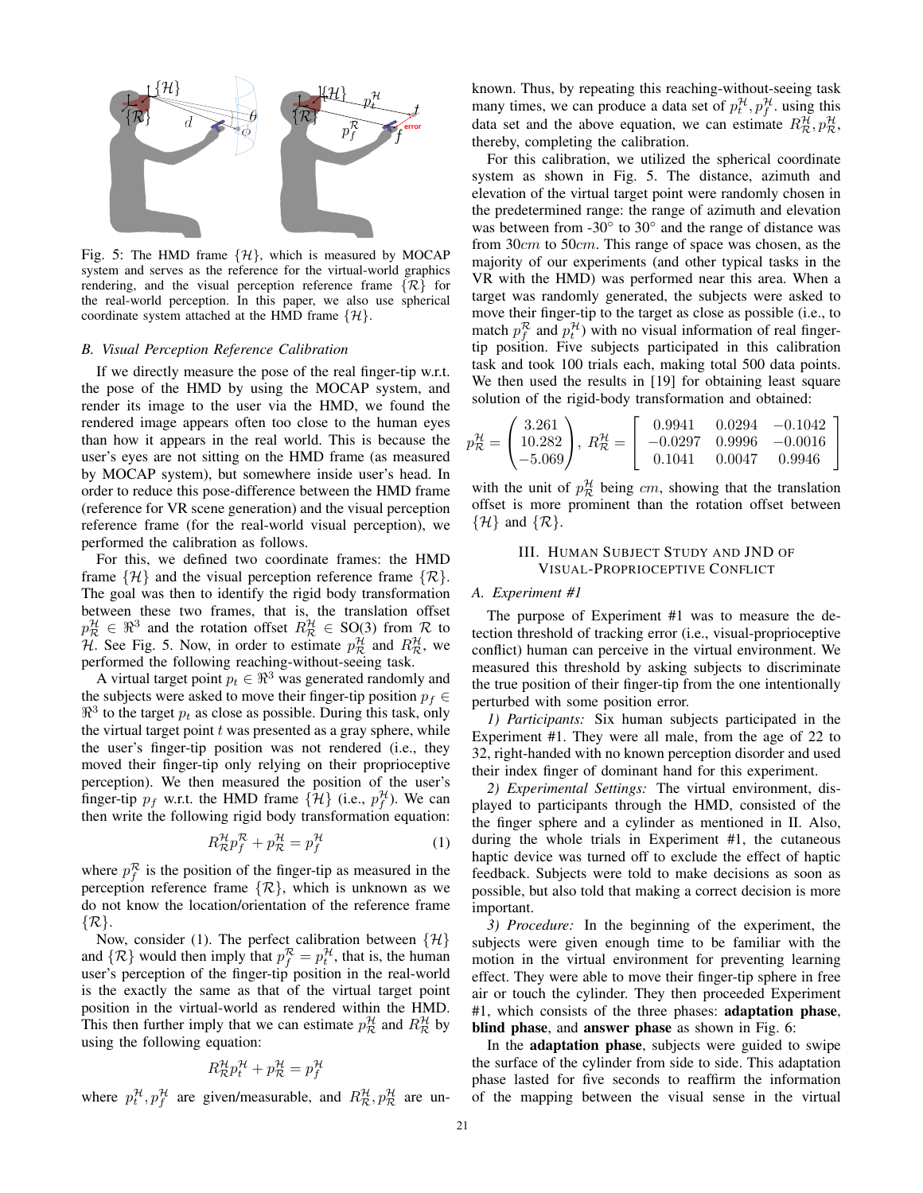

Fig. 5: The HMD frame  $\{\mathcal{H}\}\$ , which is measured by MOCAP system and serves as the reference for the virtual-world graphics rendering, and the visual perception reference frame  $\{\mathcal{R}\}\$  for the real-world perception. In this paper, we also use spherical coordinate system attached at the HMD frame  $\{\mathcal{H}\}.$ 

#### *B. Visual Perception Reference Calibration*

If we directly measure the pose of the real finger-tip w.r.t. the pose of the HMD by using the MOCAP system, and render its image to the user via the HMD, we found the rendered image appears often too close to the human eyes than how it appears in the real world. This is because the user's eyes are not sitting on the HMD frame (as measured by MOCAP system), but somewhere inside user's head. In order to reduce this pose-difference between the HMD frame (reference for VR scene generation) and the visual perception reference frame (for the real-world visual perception), we performed the calibration as follows.

For this, we defined two coordinate frames: the HMD frame  $\{\mathcal{H}\}\$ and the visual perception reference frame  $\{\mathcal{R}\}\$ . The goal was then to identify the rigid body transformation between these two frames, that is, the translation offset  $p_{\mathcal{R}}^{\mathcal{H}} \in \mathbb{R}^3$  and the rotation offset  $R_{\mathcal{R}}^{\mathcal{H}} \in SO(3)$  from R to H. See Fig. 5. Now, in order to estimate  $p^{\mathcal{H}}_{\mathcal{R}}$  and  $R^{\mathcal{H}}_{\mathcal{R}}$ , we performed the following reaching-without-seeing task.

A virtual target point  $p_t \in \mathbb{R}^3$  was generated randomly and the subjects were asked to move their finger-tip position  $p_f \in$  $\mathbb{R}^3$  to the target  $p_t$  as close as possible. During this task, only the virtual target point  $t$  was presented as a gray sphere, while the user's finger-tip position was not rendered (i.e., they moved their finger-tip only relying on their proprioceptive perception). We then measured the position of the user's finger-tip  $p_f$  w.r.t. the HMD frame  $\{\mathcal{H}\}\$  (i.e.,  $p_f^{\mathcal{H}}$ ). We can then write the following rigid body transformation equation:

$$
R_{\mathcal{R}}^{\mathcal{H}} p_f^{\mathcal{R}} + p_{\mathcal{R}}^{\mathcal{H}} = p_f^{\mathcal{H}} \tag{1}
$$

where  $p_f^{\mathcal{R}}$  is the position of the finger-tip as measured in the perception reference frame  $\{\mathcal{R}\}\$ , which is unknown as we do not know the location/orientation of the reference frame  $\{\mathcal{R}\}.$ 

Now, consider (1). The perfect calibration between  $\{\mathcal{H}\}\$ and  $\{\mathcal{R}\}\$  would then imply that  $p_f^{\mathcal{R}} = p_t^{\mathcal{H}}$ , that is, the human user's perception of the finger-tip position in the real-world is the exactly the same as that of the virtual target point position in the virtual-world as rendered within the HMD. This then further imply that we can estimate  $p_{\mathcal{R}}^{\mathcal{H}}$  and  $R_{\mathcal{R}}^{\mathcal{H}}$  by using the following equation:

$$
R^{\mathcal{H}}_{\mathcal{R}} p_t^{\mathcal{H}} + p_{\mathcal{R}}^{\mathcal{H}} = p_f^{\mathcal{H}}
$$

where  $p_t^{\mathcal{H}}, p_f^{\mathcal{H}}$  are given/measurable, and  $R_{\mathcal{R}}^{\mathcal{H}}, p_{\mathcal{R}}^{\mathcal{H}}$  are un-

known. Thus, by repeating this reaching-without-seeing task many times, we can produce a data set of  $p_t^{\mathcal{H}}, p_f^{\mathcal{H}}$  using this data set and the above equation, we can estimate  $R_{\mathcal{R}}^{\mathcal{H}}, p_{\mathcal{R}}^{\mathcal{H}},$ thereby, completing the calibration.

For this calibration, we utilized the spherical coordinate system as shown in Fig. 5. The distance, azimuth and elevation of the virtual target point were randomly chosen in the predetermined range: the range of azimuth and elevation was between from  $-30°$  to  $30°$  and the range of distance was from 30cm to 50cm. This range of space was chosen, as the majority of our experiments (and other typical tasks in the VR with the HMD) was performed near this area. When a target was randomly generated, the subjects were asked to move their finger-tip to the target as close as possible (i.e., to match  $p_f^{\mathcal{R}}$  and  $p_t^{\mathcal{H}}$ ) with no visual information of real fingertip position. Five subjects participated in this calibration task and took 100 trials each, making total 500 data points. We then used the results in [19] for obtaining least square solution of the rigid-body transformation and obtained:

$$
p_{\mathcal{R}}^{\mathcal{H}} = \begin{pmatrix} 3.261 \\ 10.282 \\ -5.069 \end{pmatrix}, R_{\mathcal{R}}^{\mathcal{H}} = \begin{bmatrix} 0.9941 & 0.0294 & -0.1042 \\ -0.0297 & 0.9996 & -0.0016 \\ 0.1041 & 0.0047 & 0.9946 \end{bmatrix}
$$

with the unit of  $p_{\mathcal{R}}^{\mathcal{H}}$  being cm, showing that the translation offset is more prominent than the rotation offset between  $\{\mathcal{H}\}\$ and  $\{\mathcal{R}\}.$ 

# III. HUMAN SUBJECT STUDY AND JND OF VISUAL-PROPRIOCEPTIVE CONFLICT

#### *A. Experiment #1*

The purpose of Experiment #1 was to measure the detection threshold of tracking error (i.e., visual-proprioceptive conflict) human can perceive in the virtual environment. We measured this threshold by asking subjects to discriminate the true position of their finger-tip from the one intentionally perturbed with some position error.

*1) Participants:* Six human subjects participated in the Experiment #1. They were all male, from the age of 22 to 32, right-handed with no known perception disorder and used their index finger of dominant hand for this experiment.

*2) Experimental Settings:* The virtual environment, displayed to participants through the HMD, consisted of the the finger sphere and a cylinder as mentioned in II. Also, during the whole trials in Experiment #1, the cutaneous haptic device was turned off to exclude the effect of haptic feedback. Subjects were told to make decisions as soon as possible, but also told that making a correct decision is more important.

*3) Procedure:* In the beginning of the experiment, the subjects were given enough time to be familiar with the motion in the virtual environment for preventing learning effect. They were able to move their finger-tip sphere in free air or touch the cylinder. They then proceeded Experiment #1, which consists of the three phases: adaptation phase, blind phase, and answer phase as shown in Fig. 6:

In the adaptation phase, subjects were guided to swipe the surface of the cylinder from side to side. This adaptation phase lasted for five seconds to reaffirm the information of the mapping between the visual sense in the virtual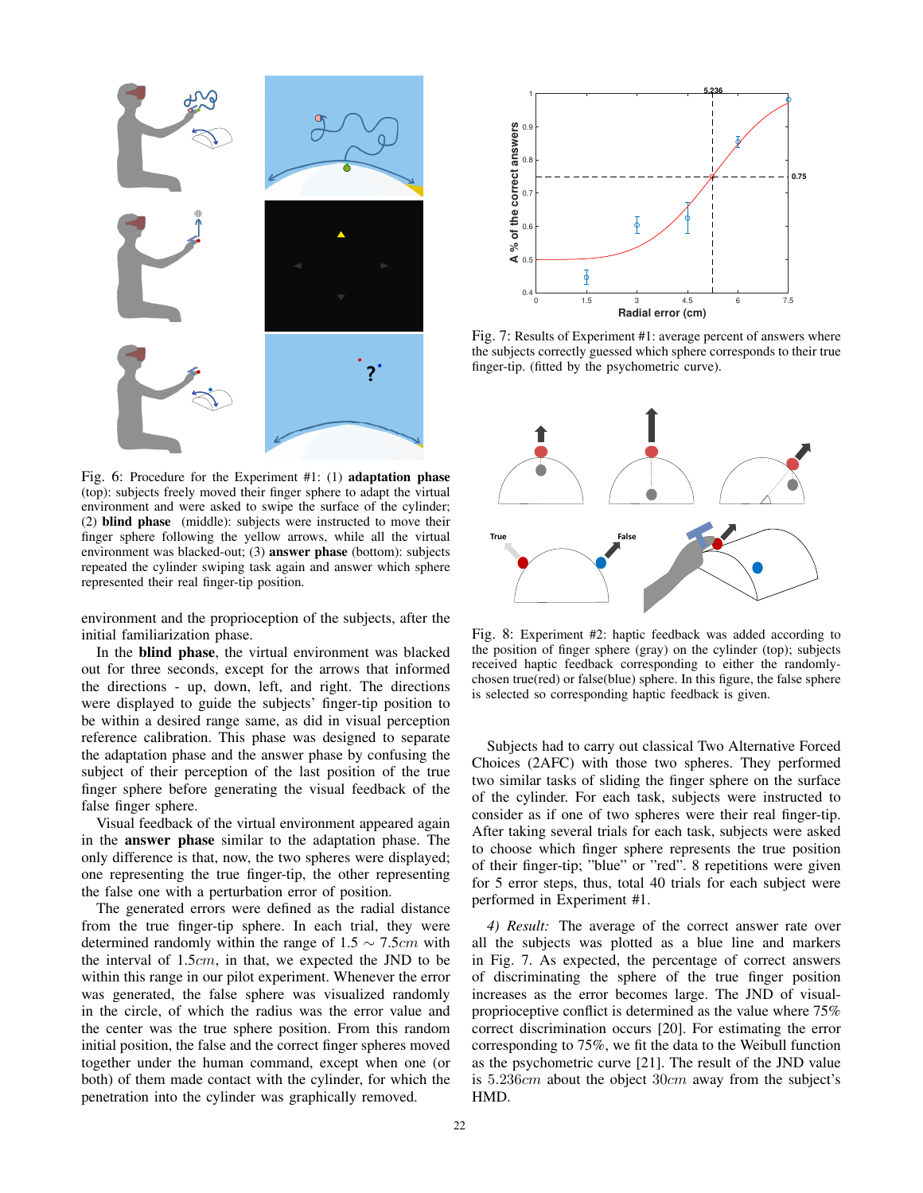

Fig. 6: Procedure for the Experiment #1: (1) adaptation phase (top): subjects freely moved their finger sphere to adapt the virtual environment and were asked to swipe the surface of the cylinder; (2) blind phase (middle): subjects were instructed to move their finger sphere following the yellow arrows, while all the virtual environment was blacked-out; (3) answer phase (bottom): subjects repeated the cylinder swiping task again and answer which sphere represented their real finger-tip position.

environment and the proprioception of the subjects, after the initial familiarization phase.

In the blind phase, the virtual environment was blacked out for three seconds, except for the arrows that informed the directions - up, down, left, and right. The directions were displayed to guide the subjects' finger-tip position to be within a desired range same, as did in visual perception reference calibration. This phase was designed to separate the adaptation phase and the answer phase by confusing the subject of their perception of the last position of the true finger sphere before generating the visual feedback of the false finger sphere.

Visual feedback of the virtual environment appeared again in the answer phase similar to the adaptation phase. The only difference is that, now, the two spheres were displayed; one representing the true finger-tip, the other representing the false one with a perturbation error of position.

The generated errors were defined as the radial distance from the true finger-tip sphere. In each trial, they were determined randomly within the range of  $1.5 \sim 7.5$ cm with the interval of 1.5cm, in that, we expected the JND to be within this range in our pilot experiment. Whenever the error was generated, the false sphere was visualized randomly in the circle, of which the radius was the error value and the center was the true sphere position. From this random initial position, the false and the correct finger spheres moved together under the human command, except when one (or both) of them made contact with the cylinder, for which the penetration into the cylinder was graphically removed.



Fig. 7: Results of Experiment #1: average percent of answers where the subjects correctly guessed which sphere corresponds to their true finger-tip. (fitted by the psychometric curve).



Fig. 8: Experiment #2: haptic feedback was added according to the position of finger sphere (gray) on the cylinder (top); subjects received haptic feedback corresponding to either the randomlychosen true(red) or false(blue) sphere. In this figure, the false sphere is selected so corresponding haptic feedback is given.

Subjects had to carry out classical Two Alternative Forced Choices (2AFC) with those two spheres. They performed two similar tasks of sliding the finger sphere on the surface of the cylinder. For each task, subjects were instructed to consider as if one of two spheres were their real finger-tip. After taking several trials for each task, subjects were asked to choose which finger sphere represents the true position of their finger-tip; "blue" or "red". 8 repetitions were given for 5 error steps, thus, total 40 trials for each subject were performed in Experiment #1.

*4) Result:* The average of the correct answer rate over all the subjects was plotted as a blue line and markers in Fig. 7. As expected, the percentage of correct answers of discriminating the sphere of the true finger position increases as the error becomes large. The JND of visualproprioceptive conflict is determined as the value where 75% correct discrimination occurs [20]. For estimating the error corresponding to 75%, we fit the data to the Weibull function as the psychometric curve [21]. The result of the JND value is 5.236cm about the object 30cm away from the subject's HMD.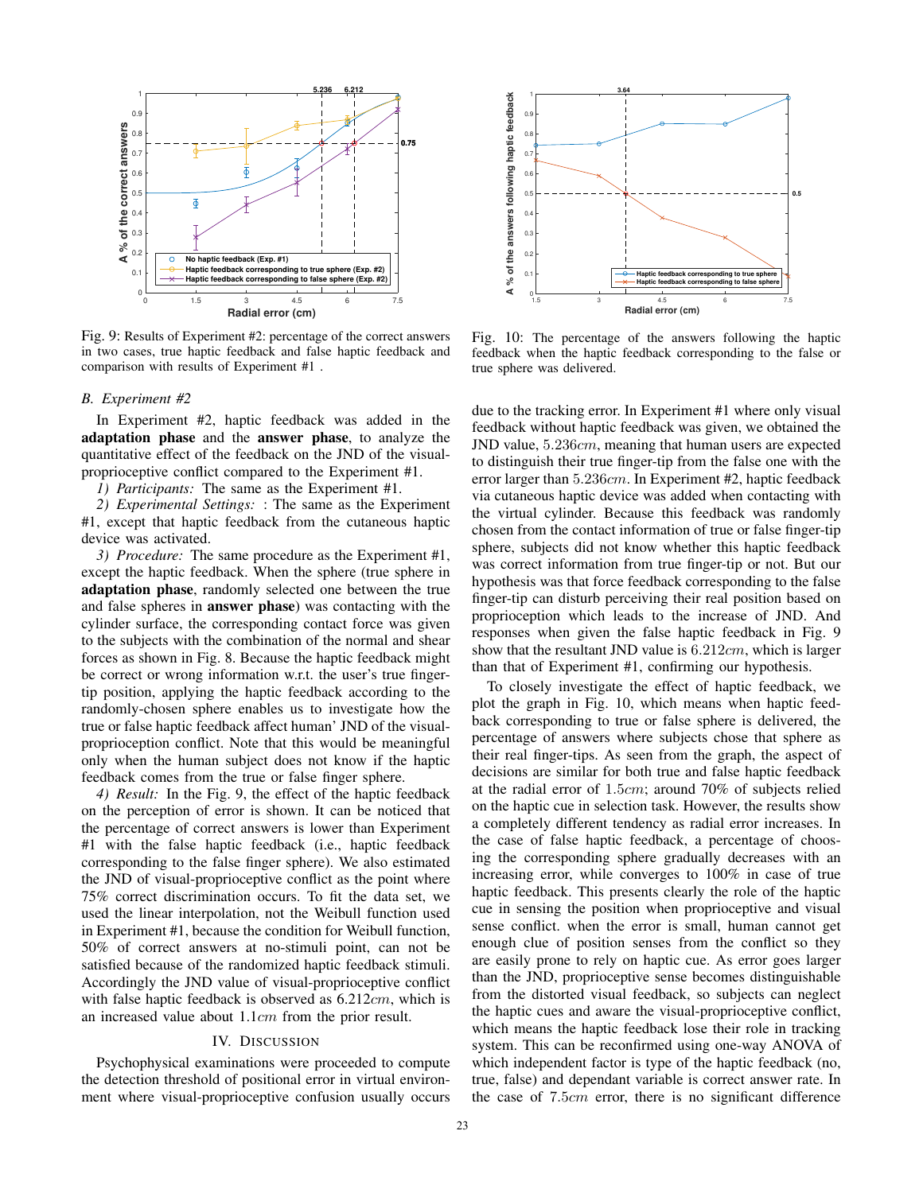

Fig. 9: Results of Experiment #2: percentage of the correct answers in two cases, true haptic feedback and false haptic feedback and comparison with results of Experiment #1 .

#### *B. Experiment #2*

In Experiment #2, haptic feedback was added in the adaptation phase and the answer phase, to analyze the quantitative effect of the feedback on the JND of the visualproprioceptive conflict compared to the Experiment #1.

*1) Participants:* The same as the Experiment #1.

*2) Experimental Settings:* : The same as the Experiment #1, except that haptic feedback from the cutaneous haptic device was activated.

*3) Procedure:* The same procedure as the Experiment #1, except the haptic feedback. When the sphere (true sphere in adaptation phase, randomly selected one between the true and false spheres in answer phase) was contacting with the cylinder surface, the corresponding contact force was given to the subjects with the combination of the normal and shear forces as shown in Fig. 8. Because the haptic feedback might be correct or wrong information w.r.t. the user's true fingertip position, applying the haptic feedback according to the randomly-chosen sphere enables us to investigate how the true or false haptic feedback affect human' JND of the visualproprioception conflict. Note that this would be meaningful only when the human subject does not know if the haptic feedback comes from the true or false finger sphere.

*4) Result:* In the Fig. 9, the effect of the haptic feedback on the perception of error is shown. It can be noticed that the percentage of correct answers is lower than Experiment #1 with the false haptic feedback (i.e., haptic feedback corresponding to the false finger sphere). We also estimated the JND of visual-proprioceptive conflict as the point where 75% correct discrimination occurs. To fit the data set, we used the linear interpolation, not the Weibull function used in Experiment #1, because the condition for Weibull function, 50% of correct answers at no-stimuli point, can not be satisfied because of the randomized haptic feedback stimuli. Accordingly the JND value of visual-proprioceptive conflict with false haptic feedback is observed as 6.212*cm*, which is an increased value about 1.1cm from the prior result.

### IV. DISCUSSION

Psychophysical examinations were proceeded to compute the detection threshold of positional error in virtual environment where visual-proprioceptive confusion usually occurs



Fig. 10: The percentage of the answers following the haptic feedback when the haptic feedback corresponding to the false or true sphere was delivered.

due to the tracking error. In Experiment #1 where only visual feedback without haptic feedback was given, we obtained the JND value, 5.236cm, meaning that human users are expected to distinguish their true finger-tip from the false one with the error larger than 5.236cm. In Experiment #2, haptic feedback via cutaneous haptic device was added when contacting with the virtual cylinder. Because this feedback was randomly chosen from the contact information of true or false finger-tip sphere, subjects did not know whether this haptic feedback was correct information from true finger-tip or not. But our hypothesis was that force feedback corresponding to the false finger-tip can disturb perceiving their real position based on proprioception which leads to the increase of JND. And responses when given the false haptic feedback in Fig. 9 show that the resultant JND value is  $6.212cm$ , which is larger than that of Experiment #1, confirming our hypothesis.

To closely investigate the effect of haptic feedback, we plot the graph in Fig. 10, which means when haptic feedback corresponding to true or false sphere is delivered, the percentage of answers where subjects chose that sphere as their real finger-tips. As seen from the graph, the aspect of decisions are similar for both true and false haptic feedback at the radial error of 1.5cm; around 70% of subjects relied on the haptic cue in selection task. However, the results show a completely different tendency as radial error increases. In the case of false haptic feedback, a percentage of choosing the corresponding sphere gradually decreases with an increasing error, while converges to 100% in case of true haptic feedback. This presents clearly the role of the haptic cue in sensing the position when proprioceptive and visual sense conflict. when the error is small, human cannot get enough clue of position senses from the conflict so they are easily prone to rely on haptic cue. As error goes larger than the JND, proprioceptive sense becomes distinguishable from the distorted visual feedback, so subjects can neglect the haptic cues and aware the visual-proprioceptive conflict, which means the haptic feedback lose their role in tracking system. This can be reconfirmed using one-way ANOVA of which independent factor is type of the haptic feedback (no, true, false) and dependant variable is correct answer rate. In the case of 7.5cm error, there is no significant difference